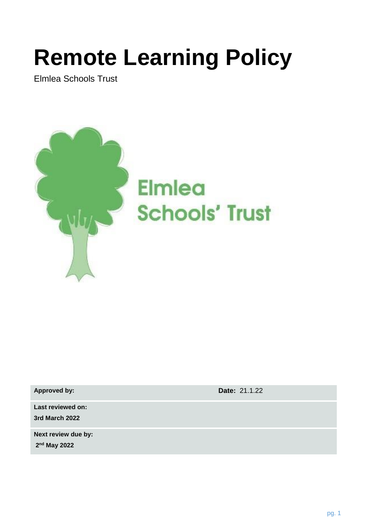# **Remote Learning Policy**

Elmlea Schools Trust



**Approved by: Date:** 21.1.22

**Last reviewed on: 3rd March 2022**

**Next review due by: 2 nd May 2022**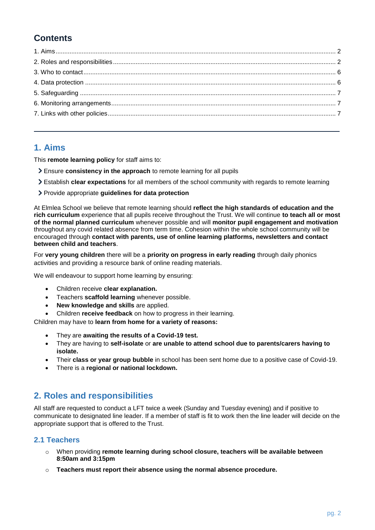# **Contents**

# <span id="page-1-0"></span>**1. Aims**

This **remote learning policy** for staff aims to:

- Ensure **consistency in the approach** to remote learning for all pupils
- Establish **clear expectations** for all members of the school community with regards to remote learning
- Provide appropriate **guidelines for data protection**

At Elmlea School we believe that remote learning should **reflect the high standards of education and the rich curriculum** experience that all pupils receive throughout the Trust. We will continue **to teach all or most of the normal planned curriculum** whenever possible and will **monitor pupil engagement and motivation** throughout any covid related absence from term time. Cohesion within the whole school community will be encouraged through **contact with parents, use of online learning platforms, newsletters and contact between child and teachers**.

For **very young children** there will be a **priority on progress in early reading** through daily phonics activities and providing a resource bank of online reading materials.

We will endeavour to support home learning by ensuring:

- Children receive **clear explanation.**
- Teachers **scaffold learning** whenever possible.
- **New knowledge and skills** are applied.
- Children **receive feedback** on how to progress in their learning.

Children may have to **learn from home for a variety of reasons:**

- They are **awaiting the results of a Covid-19 test.**
- They are having to **self-isolate** or **are unable to attend school due to parents/carers having to isolate.**
- Their **class or year group bubble** in school has been sent home due to a positive case of Covid-19.
- There is a **regional or national lockdown.**

# <span id="page-1-1"></span>**2. Roles and responsibilities**

All staff are requested to conduct a LFT twice a week (Sunday and Tuesday evening) and if positive to communicate to designated line leader. If a member of staff is fit to work then the line leader will decide on the appropriate support that is offered to the Trust.

# **2.1 Teachers**

- o When providing **remote learning during school closure, teachers will be available between 8:50am and 3:15pm**
- o **Teachers must report their absence using the normal absence procedure.**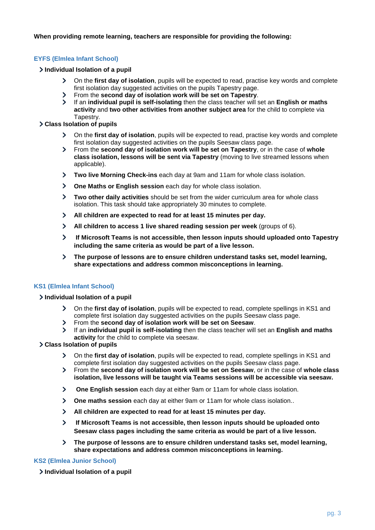#### **When providing remote learning, teachers are responsible for providing the following:**

#### **EYFS (Elmlea Infant School)**

#### **Individual Isolation of a pupil**

- $\sum$ On the **first day of isolation**, pupils will be expected to read, practise key words and complete first isolation day suggested activities on the pupils Tapestry page.
- $\mathbf{\mathcal{E}}$ From the **second day of isolation work will be set on Tapestry**.
- $\overline{\phantom{0}}$ If an **individual pupil is self-isolating** then the class teacher will set an **English or maths activity** and **two other activities from another subject area** for the child to complete via Tapestry.

#### **Class Isolation of pupils**

- $\sum$ On the **first day of isolation**, pupils will be expected to read, practise key words and complete first isolation day suggested activities on the pupils Seesaw class page.
- $\blacktriangleright$ From the **second day of isolation work will be set on Tapestry**, or in the case of **whole class isolation, lessons will be sent via Tapestry** (moving to live streamed lessons when applicable).
- **Two live Morning Check-ins** each day at 9am and 11am for whole class isolation.
- **One Maths or English session** each day for whole class isolation.
- **Two other daily activities** should be set from the wider curriculum area for whole class isolation. This task should take appropriately 30 minutes to complete.
- $\sum$ **All children are expected to read for at least 15 minutes per day.**
- **All children to access 1 live shared reading session per week** (groups of 6).
- $\blacktriangleright$ **If Microsoft Teams is not accessible, then lesson inputs should uploaded onto Tapestry including the same criteria as would be part of a live lesson.**
- $\sum$ **The purpose of lessons are to ensure children understand tasks set, model learning, share expectations and address common misconceptions in learning.**

#### **KS1 (Elmlea Infant School)**

#### **Individual Isolation of a pupil**

- On the **first day of isolation**, pupils will be expected to read, complete spellings in KS1 and complete first isolation day suggested activities on the pupils Seesaw class page.
- $\blacktriangleright$ From the **second day of isolation work will be set on Seesaw**.
- If an **individual pupil is self-isolating** then the class teacher will set an **English and maths activity** for the child to complete via seesaw.

#### **Class Isolation of pupils**

- On the **first day of isolation**, pupils will be expected to read, complete spellings in KS1 and complete first isolation day suggested activities on the pupils Seesaw class page.
- $\mathbf{y}$ From the **second day of isolation work will be set on Seesaw**, or in the case of **whole class isolation, live lessons will be taught via Teams sessions will be accessible via seesaw.**
- $\blacktriangleright$ **One English session** each day at either 9am or 11am for whole class isolation.
- $\blacktriangleright$ **One maths session** each day at either 9am or 11am for whole class isolation..
- **All children are expected to read for at least 15 minutes per day.**
- $\sum$ **If Microsoft Teams is not accessible, then lesson inputs should be uploaded onto Seesaw class pages including the same criteria as would be part of a live lesson.**
- **The purpose of lessons are to ensure children understand tasks set, model learning,**   $\blacktriangleright$ **share expectations and address common misconceptions in learning.**

#### **KS2 (Elmlea Junior School)**

**Individual Isolation of a pupil**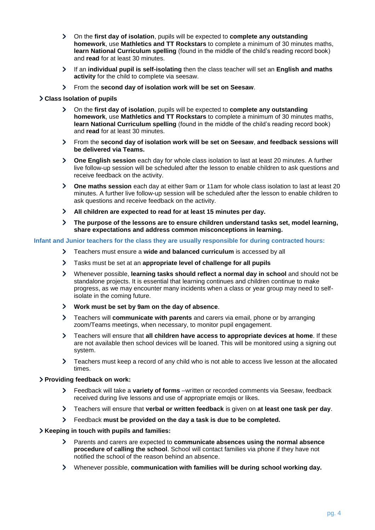- On the **first day of isolation**, pupils will be expected to **complete any outstanding homework**, use **Mathletics and TT Rockstars** to complete a minimum of 30 minutes maths, **learn National Curriculum spelling** (found in the middle of the child's reading record book) and **read** for at least 30 minutes.
- $\blacktriangleright$ If an **individual pupil is self-isolating** then the class teacher will set an **English and maths activity** for the child to complete via seesaw.
- From the **second day of isolation work will be set on Seesaw**.

#### **Class Isolation of pupils**

- On the **first day of isolation**, pupils will be expected to **complete any outstanding homework**, use **Mathletics and TT Rockstars** to complete a minimum of 30 minutes maths, **learn National Curriculum spelling** (found in the middle of the child's reading record book) and **read** for at least 30 minutes.
- From the **second day of isolation work will be set on Seesaw**, **and feedback sessions will be delivered via Teams.**
- **One English session** each day for whole class isolation to last at least 20 minutes. A further live follow-up session will be scheduled after the lesson to enable children to ask questions and receive feedback on the activity.
- **One maths session** each day at either 9am or 11am for whole class isolation to last at least 20  $\sum$ minutes. A further live follow-up session will be scheduled after the lesson to enable children to ask questions and receive feedback on the activity.
- $\blacktriangleright$ **All children are expected to read for at least 15 minutes per day.**
- $\sum$ **The purpose of the lessons are to ensure children understand tasks set, model learning, share expectations and address common misconceptions in learning.**

#### **Infant and Junior teachers for the class they are usually responsible for during contracted hours:**

- Teachers must ensure a **wide and balanced curriculum** is accessed by all
- $\blacktriangleright$ Tasks must be set at an **appropriate level of challenge for all pupils**
- Whenever possible, **learning tasks should reflect a normal day in school** and should not be standalone projects. It is essential that learning continues and children continue to make progress, as we may encounter many incidents when a class or year group may need to selfisolate in the coming future.
- **Work must be set by 9am on the day of absence**.
- Teachers will **communicate with parents** and carers via email, phone or by arranging  $\blacktriangleright$ zoom/Teams meetings, when necessary, to monitor pupil engagement.
- $\blacktriangleright$ Teachers will ensure that **all children have access to appropriate devices at home**. If these are not available then school devices will be loaned. This will be monitored using a signing out system.
- $\sum$ Teachers must keep a record of any child who is not able to access live lesson at the allocated times.

#### **Providing feedback on work:**

- Feedback will take a **variety of forms** –written or recorded comments via Seesaw, feedback  $\blacktriangleright$ received during live lessons and use of appropriate emojis or likes.
- $\blacktriangleright$ Teachers will ensure that **verbal or written feedback** is given on **at least one task per day**.
- Feedback **must be provided on the day a task is due to be completed.**

#### **Keeping in touch with pupils and families:**

- Parents and carers are expected to **communicate absences using the normal absence procedure of calling the school**. School will contact families via phone if they have not notified the school of the reason behind an absence.
- Whenever possible, **communication with families will be during school working day.** $\blacktriangleright$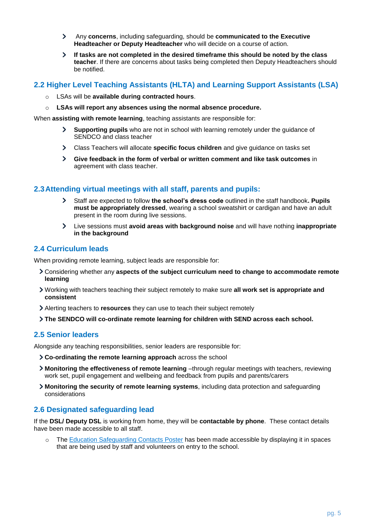- Any **concerns**, including safeguarding, should be **communicated to the Executive**   $\blacktriangleright$ **Headteacher or Deputy Headteacher** who will decide on a course of action.
- $\blacktriangleright$ **If tasks are not completed in the desired timeframe this should be noted by the class teacher**. If there are concerns about tasks being completed then Deputy Headteachers should be notified.

# **2.2 Higher Level Teaching Assistants (HLTA) and Learning Support Assistants (LSA)**

- o LSAs will be **available during contracted hours**.
- o **LSAs will report any absences using the normal absence procedure.**

When **assisting with remote learning**, teaching assistants are responsible for:

- $\blacktriangleright$ **Supporting pupils** who are not in school with learning remotely under the guidance of SENDCO and class teacher
- Class Teachers will allocate **specific focus children** and give guidance on tasks set  $\mathbf{\Sigma}$
- **Give feedback in the form of verbal or written comment and like task outcomes** in agreement with class teacher.

# **2.3Attending virtual meetings with all staff, parents and pupils:**

- $\blacktriangleright$ Staff are expected to follow **the school's dress code** outlined in the staff handbook**. Pupils must be appropriately dressed**, wearing a school sweatshirt or cardigan and have an adult present in the room during live sessions.
- $\blacktriangleright$ Live sessions must **avoid areas with background noise** and will have nothing **inappropriate in the background**

# **2.4 Curriculum leads**

When providing remote learning, subject leads are responsible for:

- Considering whether any **aspects of the subject curriculum need to change to accommodate remote learning**
- Working with teachers teaching their subject remotely to make sure **all work set is appropriate and consistent**
- Alerting teachers to **resources** they can use to teach their subject remotely
- **The SENDCO will co-ordinate remote learning for children with SEND across each school.**

# **2.5 Senior leaders**

Alongside any teaching responsibilities, senior leaders are responsible for:

- **Co-ordinating the remote learning approach** across the school
- **Monitoring the effectiveness of remote learning** –through regular meetings with teachers, reviewing work set, pupil engagement and wellbeing and feedback from pupils and parents/carers
- **Monitoring the security of remote learning systems**, including data protection and safeguarding considerations

# **2.6 Designated safeguarding lead**

If the **DSL/ Deputy DSL** is working from home, they will be **contactable by phone**. These contact details have been made accessible to all staff.

o The [Education Safeguarding Contacts Poster](https://drive.google.com/open?id=1dHv84YmMiaS63AzvH_OhYqOclCbN_dP5) has been made accessible by displaying it in spaces that are being used by staff and volunteers on entry to the school.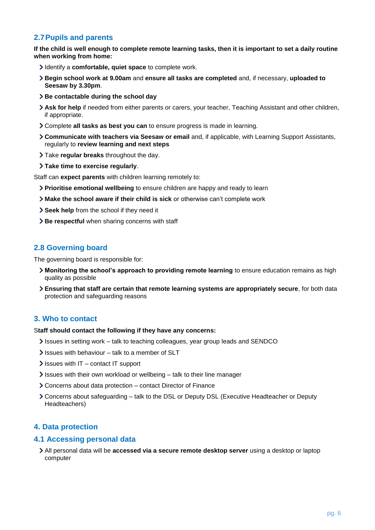# **2.7Pupils and parents**

**If the child is well enough to complete remote learning tasks, then it is important to set a daily routine when working from home:**

- Identify a **comfortable, quiet space** to complete work.
- **Begin school work at 9.00am** and **ensure all tasks are completed** and, if necessary, **uploaded to Seesaw by 3.30pm**.
- **Be contactable during the school day**
- **Ask for help** if needed from either parents or carers, your teacher, Teaching Assistant and other children, if appropriate.
- Complete **all tasks as best you can** to ensure progress is made in learning.
- **Communicate with teachers via Seesaw or email** and, if applicable, with Learning Support Assistants, regularly to **review learning and next steps**
- Take **regular breaks** throughout the day.
- **Take time to exercise regularly**.

Staff can **expect parents** with children learning remotely to:

- **Prioritise emotional wellbeing** to ensure children are happy and ready to learn
- **Make the school aware if their child is sick** or otherwise can't complete work
- **Seek help** from the school if they need it
- **Be respectful** when sharing concerns with staff

# **2.8 Governing board**

The governing board is responsible for:

- **Monitoring the school's approach to providing remote learning** to ensure education remains as high quality as possible
- **Ensuring that staff are certain that remote learning systems are appropriately secure**, for both data protection and safeguarding reasons

# <span id="page-5-0"></span>**3. Who to contact**

#### S**taff should contact the following if they have any concerns:**

- Issues in setting work talk to teaching colleagues, year group leads and SENDCO
- $\ge$  Issues with behaviour talk to a member of SLT
- $\blacktriangleright$  Issues with IT contact IT support
- $\ge$  Issues with their own workload or wellbeing talk to their line manager
- Concerns about data protection contact Director of Finance
- Concerns about safeguarding talk to the DSL or Deputy DSL (Executive Headteacher or Deputy Headteachers)

# <span id="page-5-1"></span>**4. Data protection**

#### **4.1 Accessing personal data**

All personal data will be **accessed via a secure remote desktop server** using a desktop or laptop computer